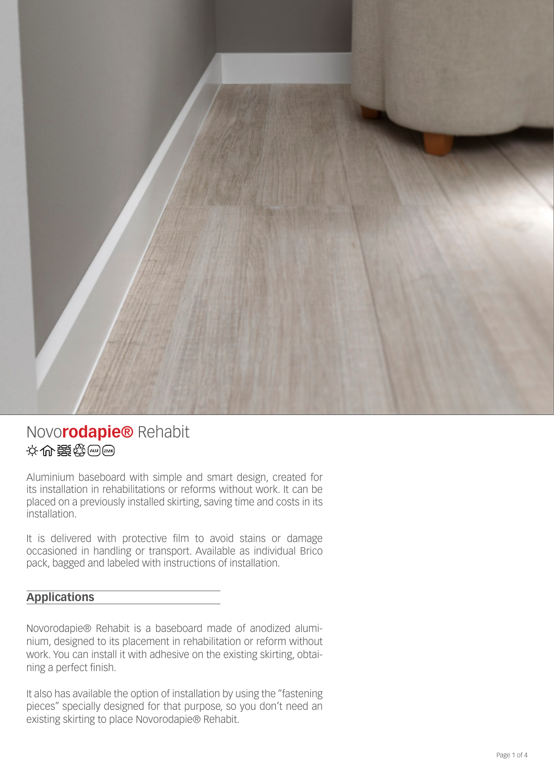

## Novo**rodapie®** Rehabit 设分别路线图

Aluminium baseboard with simple and smart design, created for its installation in rehabilitations or reforms without work. It can be placed on a previously installed skirting, saving time and costs in its installation.

It is delivered with protective film to avoid stains or damage occasioned in handling or transport. Available as individual Brico pack, bagged and labeled with instructions of installation.

### **Applications**

Novorodapie® Rehabit is a baseboard made of anodized aluminium, designed to its placement in rehabilitation or reform without work. You can install it with adhesive on the existing skirting, obtaining a perfect finish.

It also has available the option of installation by using the "fastening pieces" specially designed for that purpose, so you don't need an existing skirting to place Novorodapie® Rehabit.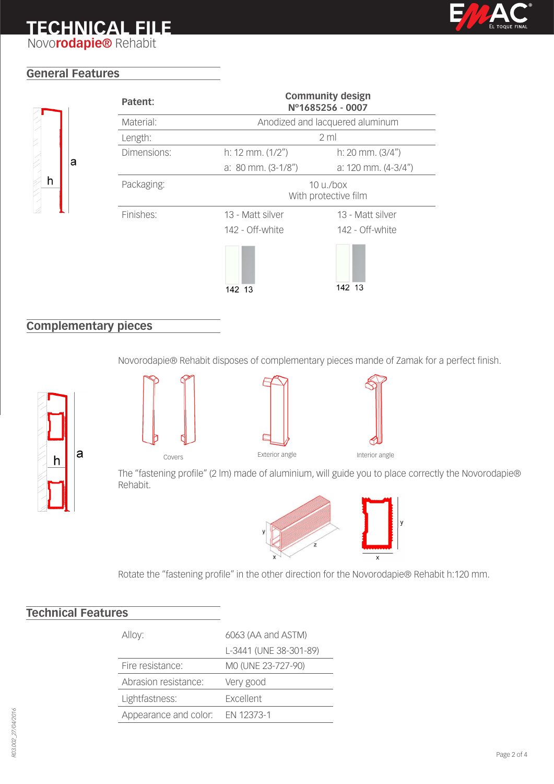## **TECHNICAL FILE**



Novo**rodapie®** Rehabit

## **General Features**



| Patent:     |                                        | <b>Community design</b><br>Nº1685256 - 0007 |
|-------------|----------------------------------------|---------------------------------------------|
| Material:   | Anodized and lacquered aluminum        |                                             |
| Length:     | 2 <sub>m</sub>                         |                                             |
| Dimensions: | h: 12 mm. $(1/2")$                     | h: $20$ mm. $(3/4")$                        |
|             | a: $80 \text{ mm}$ . (3-1/8")          | a: 120 mm. $(4-3/4")$                       |
| Packaging:  | $10 \mu$ ./box<br>With protective film |                                             |
| Finishes:   | 13 - Matt silver<br>142 - Off-white    | 13 - Matt silver<br>142 - Off-white         |
|             | 142 13                                 | 142 13                                      |

## **Complementary pieces**

Novorodapie® Rehabit disposes of complementary pieces mande of Zamak for a perfect finish.









The "fastening profile" (2 lm) made of aluminium, will guide you to place correctly the Novorodapie® Rehabit.



Rotate the "fastening profile" in the other direction for the Novorodapie® Rehabit h:120 mm.

## **Technical Features**

| Alloy:                | 6063 (AA and ASTM)     |  |
|-----------------------|------------------------|--|
|                       | L-3441 (UNE 38-301-89) |  |
| Fire resistance:      | MO (UNE 23-727-90)     |  |
| Abrasion resistance:  | Very good              |  |
| Lightfastness:        | Excellent              |  |
| Appearance and color: | EN 12373-1             |  |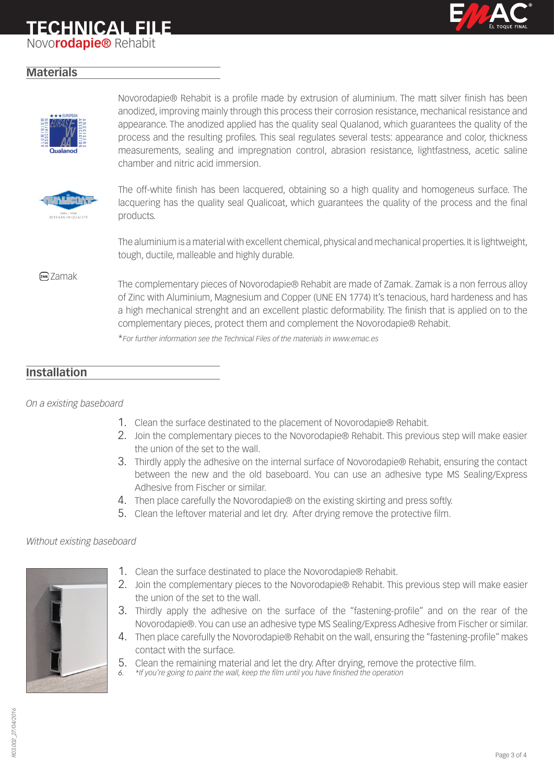**TECHNICAL FILE**

Novo**rodapie®** Rehabit



#### **Materials**



Novorodapie® Rehabit is a profile made by extrusion of aluminium. The matt silver finish has been anodized, improving mainly through this process their corrosion resistance, mechanical resistance and appearance. The anodized applied has the quality seal Qualanod, which guarantees the quality of the process and the resulting profiles. This seal regulates several tests: appearance and color, thickness measurements, sealing and impregnation control, abrasion resistance, lightfastness, acetic saline chamber and nitric acid immersion.



The off-white finish has been lacquered, obtaining so a high quality and homogeneus surface. The lacquering has the quality seal Qualicoat, which guarantees the quality of the process and the final products.

The aluminium is a material with excellent chemical, physical and mechanical properties. It is lightweight, tough, ductile, malleable and highly durable.

#### **RMK** Zamak

The complementary pieces of Novorodapie® Rehabit are made of Zamak. Zamak is a non ferrous alloy of Zinc with Aluminium, Magnesium and Copper (UNE EN 1774) It's tenacious, hard hardeness and has a high mechanical strenght and an excellent plastic deformability. The finish that is applied on to the complementary pieces, protect them and complement the Novorodapie® Rehabit.

\**For further information see the Technical Files of the materials in www.emac.es*

### **Installation**

*On a existing baseboard*

- 1. Clean the surface destinated to the placement of Novorodapie® Rehabit.
- 2. Join the complementary pieces to the Novorodapie® Rehabit. This previous step will make easier the union of the set to the wall.
- 3. Thirdly apply the adhesive on the internal surface of Novorodapie® Rehabit, ensuring the contact between the new and the old baseboard. You can use an adhesive type MS Sealing/Express Adhesive from Fischer or similar.
- 4. Then place carefully the Novorodapie® on the existing skirting and press softly.
- 5. Clean the leftover material and let dry. After drying remove the protective film.

#### *Without existing baseboard*



- 1. Clean the surface destinated to place the Novorodapie® Rehabit.
- 2. Join the complementary pieces to the Novorodapie® Rehabit. This previous step will make easier the union of the set to the wall.
- 3. Thirdly apply the adhesive on the surface of the "fastening-profile" and on the rear of the Novorodapie®. You can use an adhesive type MS Sealing/Express Adhesive from Fischer or similar.
- 4. Then place carefully the Novorodapie® Rehabit on the wall, ensuring the "fastening-profile" makes contact with the surface.
- 5. Clean the remaining material and let the dry. After drying, remove the protective film.
- *6. \*If you're going to paint the wall, keep the film until you have finished the operation*